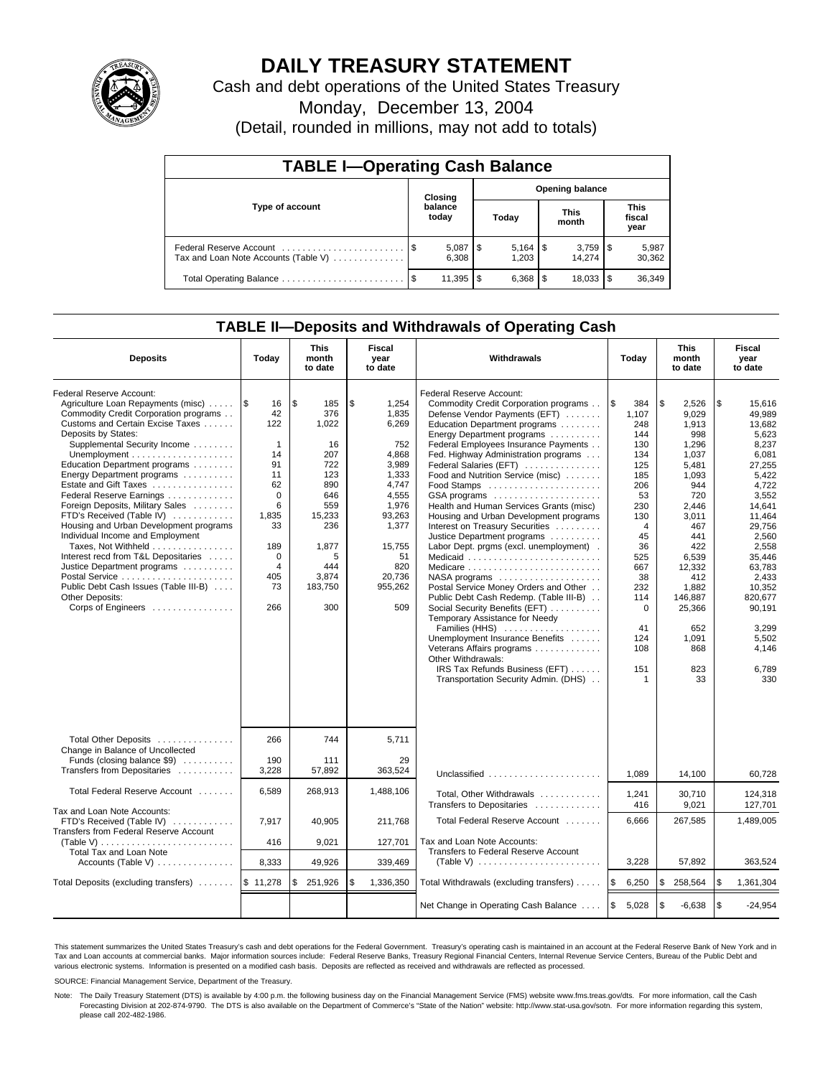

# **DAILY TREASURY STATEMENT**

Cash and debt operations of the United States Treasury

Monday, December 13, 2004

(Detail, rounded in millions, may not add to totals)

| <b>TABLE I-Operating Cash Balance</b>                           |         |                       |                        |                        |                      |                                 |                               |                 |  |
|-----------------------------------------------------------------|---------|-----------------------|------------------------|------------------------|----------------------|---------------------------------|-------------------------------|-----------------|--|
|                                                                 | Closing |                       | <b>Opening balance</b> |                        |                      |                                 |                               |                 |  |
| Type of account                                                 |         | balance<br>today      | Today                  |                        | <b>This</b><br>month |                                 | <b>This</b><br>fiscal<br>year |                 |  |
| Federal Reserve Account<br>Tax and Loan Note Accounts (Table V) |         | $5,087$   \$<br>6.308 |                        | 1.203                  |                      | $3,759$ $\frac{1}{3}$<br>14.274 |                               | 5,987<br>30,362 |  |
|                                                                 | - \$    | 11.395                | l \$                   | $6,368$ $\frac{15}{2}$ |                      | 18.033                          |                               | 36,349          |  |

### **TABLE II—Deposits and Withdrawals of Operating Cash**

| <b>Deposits</b>                                                     | Today          | <b>This</b><br>month<br>to date | <b>Fiscal</b><br>year<br>to date | Withdrawals                                                         | Today                  | <b>This</b><br>month<br>to date | <b>Fiscal</b><br>year<br>to date |
|---------------------------------------------------------------------|----------------|---------------------------------|----------------------------------|---------------------------------------------------------------------|------------------------|---------------------------------|----------------------------------|
| Federal Reserve Account:                                            |                |                                 |                                  | Federal Reserve Account:                                            |                        |                                 |                                  |
| Agriculture Loan Repayments (misc)                                  | 1\$<br>16      | \$<br>185                       | \$<br>1,254                      | Commodity Credit Corporation programs                               | $\overline{1s}$<br>384 | l \$<br>2.526                   | \$<br>15.616                     |
| Commodity Credit Corporation programs                               | 42             | 376                             | 1,835                            | Defense Vendor Payments (EFT)                                       | 1,107                  | 9.029                           | 49.989                           |
| Customs and Certain Excise Taxes                                    | 122            | 1,022                           | 6,269                            | Education Department programs                                       | 248                    | 1.913                           | 13.682                           |
| Deposits by States:                                                 |                |                                 |                                  | Energy Department programs                                          | 144                    | 998                             | 5.623                            |
| Supplemental Security Income                                        | $\mathbf 1$    | 16                              | 752                              | Federal Employees Insurance Payments                                | 130                    | 1,296                           | 8,237                            |
|                                                                     | 14             | 207                             | 4,868                            | Fed. Highway Administration programs                                | 134                    | 1,037                           | 6,081                            |
| Education Department programs                                       | 91             | 722                             | 3,989                            | Federal Salaries (EFT)                                              | 125                    | 5,481                           | 27,255                           |
| Energy Department programs                                          | 11             | 123                             | 1,333                            | Food and Nutrition Service (misc)                                   | 185                    | 1,093                           | 5,422                            |
| Estate and Gift Taxes                                               | 62             | 890                             | 4,747                            |                                                                     | 206                    | 944                             | 4.722                            |
| Federal Reserve Earnings                                            | $\Omega$       | 646                             | 4,555                            | GSA programs                                                        | 53                     | 720                             | 3.552                            |
| Foreign Deposits, Military Sales                                    | 6              | 559                             | 1,976                            | Health and Human Services Grants (misc)                             | 230                    | 2.446                           | 14.641                           |
| FTD's Received (Table IV)                                           | 1,835          | 15,233                          | 93,263                           | Housing and Urban Development programs                              | 130                    | 3,011                           | 11,464                           |
| Housing and Urban Development programs                              | 33             | 236                             | 1,377                            | Interest on Treasury Securities                                     | $\overline{4}$         | 467                             | 29,756                           |
| Individual Income and Employment                                    |                |                                 |                                  | Justice Department programs                                         | 45                     | 441                             | 2,560                            |
| Taxes. Not Withheld                                                 | 189            | 1,877                           | 15,755                           | Labor Dept. prgms (excl. unemployment).                             | 36                     | 422                             | 2.558                            |
| Interest recd from T&L Depositaries                                 | $\Omega$       | 5                               | 51                               | Medicaid                                                            | 525                    | 6.539                           | 35.446                           |
| Justice Department programs                                         | $\overline{4}$ | 444                             | 820                              | Medicare                                                            | 667                    | 12,332                          | 63.783                           |
|                                                                     | 405            | 3,874                           | 20.736                           | $NASA$ programs $\ldots \ldots \ldots \ldots \ldots$                | 38                     | 412                             | 2.433                            |
| Public Debt Cash Issues (Table III-B)                               | 73             | 183,750                         | 955,262                          | Postal Service Money Orders and Other                               | 232                    | 1,882                           | 10,352                           |
| <b>Other Deposits:</b>                                              |                |                                 |                                  | Public Debt Cash Redemp. (Table III-B)                              | 114                    | 146,887                         | 820,677                          |
| Corps of Engineers                                                  | 266            | 300                             | 509                              | Social Security Benefits (EFT)<br>Temporary Assistance for Needy    | $\mathbf 0$            | 25,366                          | 90,191                           |
|                                                                     |                |                                 |                                  | Families (HHS)                                                      | 41                     | 652                             | 3,299                            |
|                                                                     |                |                                 |                                  | Unemployment Insurance Benefits                                     | 124                    | 1.091                           | 5.502                            |
|                                                                     |                |                                 |                                  | Veterans Affairs programs                                           | 108                    | 868                             | 4.146                            |
|                                                                     |                |                                 |                                  | Other Withdrawals:                                                  |                        |                                 |                                  |
|                                                                     |                |                                 |                                  | IRS Tax Refunds Business (EFT)                                      | 151                    | 823                             | 6,789                            |
|                                                                     |                |                                 |                                  | Transportation Security Admin. (DHS)                                | 1                      | 33                              | 330                              |
|                                                                     |                |                                 |                                  |                                                                     |                        |                                 |                                  |
| Total Other Deposits<br>Change in Balance of Uncollected            | 266            | 744                             | 5,711                            |                                                                     |                        |                                 |                                  |
| Funds (closing balance \$9)                                         | 190            | 111                             | 29                               |                                                                     |                        |                                 |                                  |
| Transfers from Depositaries                                         | 3,228          | 57,892                          | 363,524                          |                                                                     |                        |                                 |                                  |
|                                                                     |                |                                 |                                  | Unclassified                                                        | 1,089                  | 14,100                          | 60,728                           |
| Total Federal Reserve Account                                       | 6,589          | 268,913                         | 1,488,106                        | Total, Other Withdrawals<br>Transfers to Depositaries               | 1,241<br>416           | 30,710<br>9.021                 | 124,318<br>127.701               |
| Tax and Loan Note Accounts:                                         |                |                                 |                                  | Total Federal Reserve Account                                       | 6,666                  | 267,585                         | 1,489,005                        |
| FTD's Received (Table IV)<br>Transfers from Federal Reserve Account | 7,917          | 40,905                          | 211,768                          |                                                                     |                        |                                 |                                  |
|                                                                     | 416            | 9,021                           | 127,701                          | Tax and Loan Note Accounts:<br>Transfers to Federal Reserve Account |                        |                                 |                                  |
| Total Tax and Loan Note<br>Accounts (Table V)                       | 8,333          | 49,926                          | 339.469                          |                                                                     | 3,228                  | 57,892                          | 363,524                          |
| Total Deposits (excluding transfers)                                | \$11,278       | \$<br>251,926                   | \$<br>1,336,350                  | Total Withdrawals (excluding transfers)                             | ۱\$<br>6,250           | <b>S</b><br>258,564             | \$<br>1,361,304                  |
|                                                                     |                |                                 |                                  | Net Change in Operating Cash Balance                                | 1\$<br>5,028           | $\mathfrak{s}$<br>$-6,638$      | \$<br>$-24.954$                  |

This statement summarizes the United States Treasury's cash and debt operations for the Federal Government. Treasury's operating cash is maintained in an account at the Federal Reserve Bank of New York and in Tax and Loan accounts at commercial banks. Major information sources include: Federal Reserve Banks, Treasury Regional Financial Centers, Internal Revenue Service Centers, Bureau of the Public Debt and<br>various electronic s

SOURCE: Financial Management Service, Department of the Treasury.

Note: The Daily Treasury Statement (DTS) is available by 4:00 p.m. the following business day on the Financial Management Service (FMS) website www.fms.treas.gov/dts. For more information, call the Cash Forecasting Division at 202-874-9790. The DTS is also available on the Department of Commerce's "State of the Nation" website: http://www.stat-usa.gov/sotn. For more information regarding this system, please call 202-482-1986.